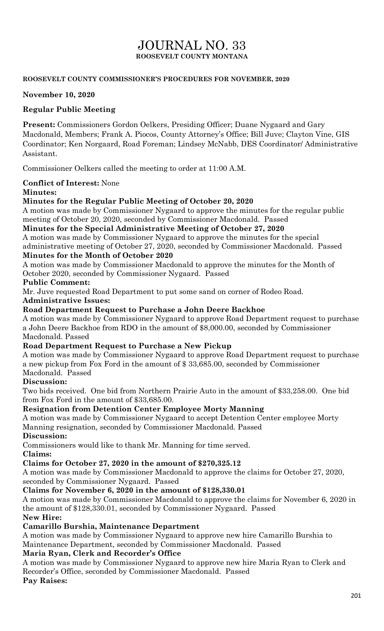# JOURNAL NO. 33 **ROOSEVELT COUNTY MONTANA**

#### **ROOSEVELT COUNTY COMMISSIONER'S PROCEDURES FOR NOVEMBER, 2020**

#### **November 10, 2020**

#### **Regular Public Meeting**

**Present:** Commissioners Gordon Oelkers, Presiding Officer; Duane Nygaard and Gary Macdonald, Members; Frank A. Piocos, County Attorney's Office; Bill Juve; Clayton Vine, GIS Coordinator; Ken Norgaard, Road Foreman; Lindsey McNabb, DES Coordinator/ Administrative Assistant.

Commissioner Oelkers called the meeting to order at 11:00 A.M.

### **Conflict of Interest:** None

#### **Minutes:**

#### **Minutes for the Regular Public Meeting of October 20, 2020**

A motion was made by Commissioner Nygaard to approve the minutes for the regular public meeting of October 20, 2020, seconded by Commissioner Macdonald. Passed

#### **Minutes for the Special Administrative Meeting of October 27, 2020**

A motion was made by Commissioner Nygaard to approve the minutes for the special administrative meeting of October 27, 2020, seconded by Commissioner Macdonald. Passed

#### **Minutes for the Month of October 2020**

A motion was made by Commissioner Macdonald to approve the minutes for the Month of October 2020, seconded by Commissioner Nygaard. Passed

#### **Public Comment:**

Mr. Juve requested Road Department to put some sand on corner of Rodeo Road.

**Administrative Issues:**

#### **Road Department Request to Purchase a John Deere Backhoe**

A motion was made by Commissioner Nygaard to approve Road Department request to purchase a John Deere Backhoe from RDO in the amount of \$8,000.00, seconded by Commissioner Macdonald. Passed

#### **Road Department Request to Purchase a New Pickup**

A motion was made by Commissioner Nygaard to approve Road Department request to purchase a new pickup from Fox Ford in the amount of \$ 33,685.00, seconded by Commissioner Macdonald. Passed

#### **Discussion:**

Two bids received. One bid from Northern Prairie Auto in the amount of \$33,258.00. One bid from Fox Ford in the amount of \$33,685.00.

#### **Resignation from Detention Center Employee Morty Manning**

A motion was made by Commissioner Nygaard to accept Detention Center employee Morty Manning resignation, seconded by Commissioner Macdonald. Passed

## **Discussion:**

Commissioners would like to thank Mr. Manning for time served.

#### **Claims:**

#### **Claims for October 27, 2020 in the amount of \$270,325.12**

A motion was made by Commissioner Macdonald to approve the claims for October 27, 2020, seconded by Commissioner Nygaard. Passed

#### **Claims for November 6, 2020 in the amount of \$128,330.01**

A motion was made by Commissioner Macdonald to approve the claims for November 6, 2020 in the amount of \$128,330.01, seconded by Commissioner Nygaard. Passed

# **New Hire:**

# **Camarillo Burshia, Maintenance Department**

A motion was made by Commissioner Nygaard to approve new hire Camarillo Burshia to Maintenance Department, seconded by Commissioner Macdonald. Passed

# **Maria Ryan, Clerk and Recorder's Office**

A motion was made by Commissioner Nygaard to approve new hire Maria Ryan to Clerk and Recorder's Office, seconded by Commissioner Macdonald. Passed **Pay Raises:**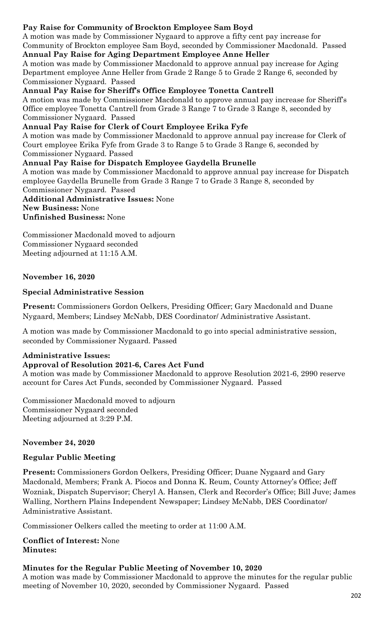### **Pay Raise for Community of Brockton Employee Sam Boyd**

A motion was made by Commissioner Nygaard to approve a fifty cent pay increase for Community of Brockton employee Sam Boyd, seconded by Commissioner Macdonald. Passed

### **Annual Pay Raise for Aging Department Employee Anne Heller**

A motion was made by Commissioner Macdonald to approve annual pay increase for Aging Department employee Anne Heller from Grade 2 Range 5 to Grade 2 Range 6, seconded by Commissioner Nygaard. Passed

#### **Annual Pay Raise for Sheriff's Office Employee Tonetta Cantrell**

A motion was made by Commissioner Macdonald to approve annual pay increase for Sheriff's Office employee Tonetta Cantrell from Grade 3 Range 7 to Grade 3 Range 8, seconded by Commissioner Nygaard. Passed

#### **Annual Pay Raise for Clerk of Court Employee Erika Fyfe**

A motion was made by Commissioner Macdonald to approve annual pay increase for Clerk of Court employee Erika Fyfe from Grade 3 to Range 5 to Grade 3 Range 6, seconded by Commissioner Nygaard. Passed

#### **Annual Pay Raise for Dispatch Employee Gaydella Brunelle**

A motion was made by Commissioner Macdonald to approve annual pay increase for Dispatch employee Gaydella Brunelle from Grade 3 Range 7 to Grade 3 Range 8, seconded by Commissioner Nygaard. Passed

**Additional Administrative Issues:** None **New Business:** None

**Unfinished Business:** None

Commissioner Macdonald moved to adjourn Commissioner Nygaard seconded Meeting adjourned at 11:15 A.M.

#### **November 16, 2020**

#### **Special Administrative Session**

**Present:** Commissioners Gordon Oelkers, Presiding Officer; Gary Macdonald and Duane Nygaard, Members; Lindsey McNabb, DES Coordinator/ Administrative Assistant.

A motion was made by Commissioner Macdonald to go into special administrative session, seconded by Commissioner Nygaard. Passed

# **Administrative Issues:**

#### **Approval of Resolution 2021-6, Cares Act Fund**

A motion was made by Commissioner Macdonald to approve Resolution 2021-6, 2990 reserve account for Cares Act Funds, seconded by Commissioner Nygaard. Passed

Commissioner Macdonald moved to adjourn Commissioner Nygaard seconded Meeting adjourned at 3:29 P.M.

#### **November 24, 2020**

#### **Regular Public Meeting**

**Present:** Commissioners Gordon Oelkers, Presiding Officer; Duane Nygaard and Gary Macdonald, Members; Frank A. Piocos and Donna K. Reum, County Attorney's Office; Jeff Wozniak, Dispatch Supervisor; Cheryl A. Hansen, Clerk and Recorder's Office; Bill Juve; James Walling, Northern Plains Independent Newspaper; Lindsey McNabb, DES Coordinator/ Administrative Assistant.

Commissioner Oelkers called the meeting to order at 11:00 A.M.

**Conflict of Interest:** None **Minutes:**

### **Minutes for the Regular Public Meeting of November 10, 2020**

A motion was made by Commissioner Macdonald to approve the minutes for the regular public meeting of November 10, 2020, seconded by Commissioner Nygaard. Passed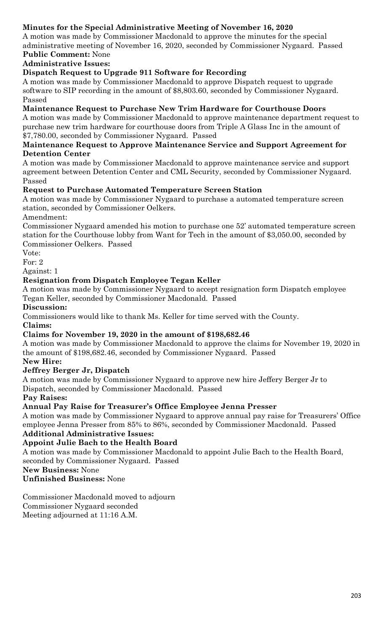# **Minutes for the Special Administrative Meeting of November 16, 2020**

A motion was made by Commissioner Macdonald to approve the minutes for the special administrative meeting of November 16, 2020, seconded by Commissioner Nygaard. Passed **Public Comment:** None

# **Administrative Issues:**

### **Dispatch Request to Upgrade 911 Software for Recording**

A motion was made by Commissioner Macdonald to approve Dispatch request to upgrade software to SIP recording in the amount of \$8,803.60, seconded by Commissioner Nygaard. Passed

### **Maintenance Request to Purchase New Trim Hardware for Courthouse Doors**

A motion was made by Commissioner Macdonald to approve maintenance department request to purchase new trim hardware for courthouse doors from Triple A Glass Inc in the amount of \$7,780.00, seconded by Commissioner Nygaard. Passed

#### **Maintenance Request to Approve Maintenance Service and Support Agreement for Detention Center**

A motion was made by Commissioner Macdonald to approve maintenance service and support agreement between Detention Center and CML Security, seconded by Commissioner Nygaard. Passed

#### **Request to Purchase Automated Temperature Screen Station**

A motion was made by Commissioner Nygaard to purchase a automated temperature screen station, seconded by Commissioner Oelkers.

Amendment:

Commissioner Nygaard amended his motion to purchase one 52' automated temperature screen station for the Courthouse lobby from Want for Tech in the amount of \$3,050.00, seconded by Commissioner Oelkers. Passed

Vote:

For: 2

Against: 1

### **Resignation from Dispatch Employee Tegan Keller**

A motion was made by Commissioner Nygaard to accept resignation form Dispatch employee Tegan Keller, seconded by Commissioner Macdonald. Passed

#### **Discussion:**

Commissioners would like to thank Ms. Keller for time served with the County.

**Claims:**

### **Claims for November 19, 2020 in the amount of \$198,682.46**

A motion was made by Commissioner Macdonald to approve the claims for November 19, 2020 in the amount of \$198,682.46, seconded by Commissioner Nygaard. Passed

### **New Hire:**

### **Jeffrey Berger Jr, Dispatch**

A motion was made by Commissioner Nygaard to approve new hire Jeffery Berger Jr to Dispatch, seconded by Commissioner Macdonald. Passed

**Pay Raises:**

### **Annual Pay Raise for Treasurer's Office Employee Jenna Presser**

A motion was made by Commissioner Nygaard to approve annual pay raise for Treasurers' Office employee Jenna Presser from 85% to 86%, seconded by Commissioner Macdonald. Passed **Additional Administrative Issues:**

# **Appoint Julie Bach to the Health Board**

A motion was made by Commissioner Macdonald to appoint Julie Bach to the Health Board, seconded by Commissioner Nygaard. Passed

**New Business:** None

**Unfinished Business:** None

Commissioner Macdonald moved to adjourn Commissioner Nygaard seconded Meeting adjourned at 11:16 A.M.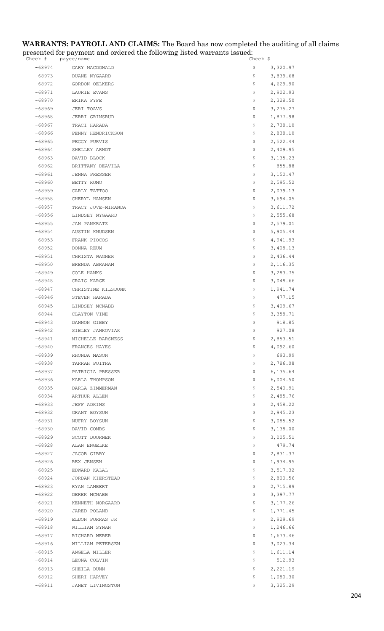#### **WARRANTS: PAYROLL AND CLAIMS:** The Board has now completed the auditing of all claims presented for payment and ordered the following listed warrants issued:

| Check #              | payee/name                          | Check Ş                          |
|----------------------|-------------------------------------|----------------------------------|
| $-68974$             | GARY MACDONALD                      | \$<br>3,320.97                   |
| $-68973$             | DUANE NYGAARD                       | \$<br>3,839.68                   |
| -68972               | GORDON OELKERS                      | \$<br>4,629.90                   |
| $-68971$             | LAURIE EVANS                        | \$<br>2,902.93                   |
| $-68970$             | ERIKA FYFE                          | \$<br>2,328.50                   |
| $-68969$             | JERI TOAVS                          | \$<br>3, 275.27                  |
| $-68968$             | JERRI GRIMSRUD                      | \$<br>1,877.98                   |
| -68967               | TRACI HARADA                        | \$<br>2,738.10                   |
| $-68966$             | PENNY HENDRICKSON                   | \$<br>2,838.10                   |
| $-68965$             | PEGGY PURVIS                        | \$<br>2,522.44                   |
| $-68964$             | SHELLEY ARNDT                       | 2,409.95<br>Ş.                   |
| $-68963$             | DAVID BLOCK                         | \$<br>3,135.23                   |
| $-68962$             | BRITTANY DEAVILA                    | \$<br>855.88                     |
| $-68961$             | JENNA PRESSER                       | \$<br>3,150.47                   |
| $-68960$             | BETTY ROMO                          | Ş.<br>2,595.52                   |
| $-68959$<br>$-68958$ | CARLY TATTOO                        | 2,039.13<br>Ş.<br>\$             |
| $-68957$             | CHERYL HANSEN<br>TRACY JUVE-MIRANDA | 3,694.05<br>\$<br>3,611.72       |
| -68956               | LINDSEY NYGAARD                     | \$<br>2,555.68                   |
| $-68955$             | JAN PANKRATZ                        | \$<br>2,579.01                   |
| $-68954$             | AUSTIN KNUDSEN                      | \$<br>5,905.44                   |
| $-68953$             | FRANK PIOCOS                        | \$<br>4,941.93                   |
| $-68952$             | DONNA REUM                          | \$<br>3,408.13                   |
| $-68951$             | CHRISTA WAGNER                      | \$<br>2,436.44                   |
| $-68950$             | BRENDA ABRAHAM                      | \$<br>2,116.35                   |
| $-68949$             | COLE HANKS                          | \$<br>3,283.75                   |
| $-68948$             | CRAIG KARGE                         | 3,048.66<br>Ş.                   |
| $-68947$             | CHRISTINE KILSDONK                  | \$<br>1,941.74                   |
| $-68946$             | STEVEN HARADA                       | \$<br>477.15                     |
| $-68945$             | LINDSEY MCNABB                      | \$<br>3,409.67                   |
| $-68944$             | CLAYTON VINE                        | Ş.<br>3,358.71                   |
| $-68943$             | DANNON GIBBY                        | 918.85<br>\$                     |
| $-68942$             | SIBLEY JANKOVIAK                    | \$<br>927.08                     |
| $-68941$             | MICHELLE BARSNESS                   | 2,853.51<br>\$                   |
| -68940               | FRANCES HAYES                       | 4,092.60<br>Ş.                   |
| $-68939$             | RHONDA MASON                        | \$<br>693.99                     |
| $-68938$             | TARRAH POITRA                       | \$<br>2,786.08                   |
| $-68937$             | PATRICIA PRESSER                    | \$<br>6,135.64                   |
| $-68936$             | KARLA THOMPSON                      | \$<br>6,004.50                   |
| $-68935$             | DARLA ZIMMERMAN                     | \$<br>2,540.91                   |
| $-68934$             | ARTHUR ALLEN                        | \$<br>2,485.76                   |
| $-68933$<br>$-68932$ | JEFF ADKINS<br>GRANT BOYSUN         | \$<br>2,458.22<br>2,945.23<br>Ş. |
| $-68931$             | NUFRY BOYSUN                        | \$<br>3,085.52                   |
| $-68930$             | DAVID COMBS                         | \$<br>3,138.00                   |
| $-68929$             | SCOTT DOORNEK                       | \$<br>3,005.51                   |
| $-68928$             | ALAN ENGELKE                        | \$<br>479.74                     |
| $-68927$             | JACOB GIBBY                         | 2,831.37<br>Ş.                   |
| $-68926$             | REX JENSEN                          | \$<br>1,934.95                   |
| $-68925$             | EDWARD KALAL                        | 3,517.32<br>\$                   |
| -68924               | JORDAN KIERSTEAD                    | \$<br>2,800.56                   |
| $-68923$             | RYAN LAMBERT                        | \$<br>2,715.89                   |
| $-68922$             | DEREK MCNABB                        | \$<br>3,397.77                   |
| $-68921$             | KENNETH NORGAARD                    | \$<br>3,177.26                   |
| $-68920$             | JARED POLAND                        | \$<br>1,771.45                   |
| $-68919$             | ELDON PORRAS JR                     | \$<br>2,929.69                   |
| $-68918$             | WILLIAM SYNAN                       | \$<br>1,246.66                   |
| $-68917$             | RICHARD WEBER                       | \$<br>1,673.46                   |
| $-68916$             | WILLIAM PETERSEN                    | 3,023.34<br>Ş.                   |
| $-68915$             | ANGELA MILLER                       | \$<br>1,611.14                   |
| $-68914$             | LEONA COLVIN                        | \$<br>512.93                     |
| $-68913$             | SHEILA DUNN                         | \$<br>2,221.19                   |
| $-68912$             | SHERI HARVEY                        | 1,080.30<br>\$                   |
| $-68911$             | JANET LIVINGSTON                    | 3,325.29<br>Ş.                   |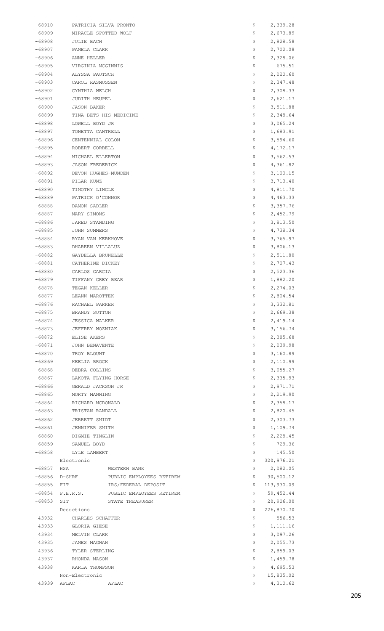| $-68910$         | PATRICIA SILVA PRONTO            | Ş                              | 2,339.28              |
|------------------|----------------------------------|--------------------------------|-----------------------|
| $-68909$         | MIRACLE SPOTTED WOLF             | Ş                              | 2,673.89              |
| $-68908$         | JULIE BACH                       | Ş                              | 2,828.58              |
| -68907           | PAMELA CLARK                     | \$                             | 2,702.08              |
| -68906           | ANNE HELLER                      | \$                             | 2,328.06              |
| $-68905$         | VIRGINIA MCGINNIS                | \$                             | 675.51                |
| $-68904$         | ALYSSA PAUTSCH                   | \$                             | 2,020.60              |
| $-68903$         | CAROL RASMUSSEN                  | \$                             | 2,347.48              |
| $-68902$         | CYNTHIA WELCH                    | \$                             | 2,308.33              |
| $-68901$         | JUDITH HEUPEL                    | \$                             | 2,621.17              |
| $-68900$         | JASON BAKER                      | \$                             | 3,511.88              |
| -68899           | TINA BETS HIS MEDICINE           | \$                             | 2,348.64              |
| -68898           | LOWELL BOYD JR                   | \$                             | 3,065.24              |
| $-68897$         | TONETTA CANTRELL                 | Ş                              | 1,683.91              |
| -68896           | CENTENNIAL COLON                 | \$                             | 3,594.60              |
| -68895           | ROBERT CORBELL                   | \$                             | 4, 172. 17            |
| -68894           | MICHAEL ELLERTON                 | \$                             | 3,562.53              |
| $-68893$         | <b>JASON FREDERICK</b>           | \$                             | 4,361.82              |
| $-68892$         | DEVON HUGHES-MUNDEN              | Ş                              | 3,100.15              |
| -68891           | PILAR KUNZ                       | Ş                              | 3,713.40              |
| -68890<br>-68889 | TIMOTHY LINGLE                   | \$<br>\$                       | 4,811.70<br>4,463.33  |
|                  | PATRICK O'CONNOR                 |                                |                       |
| -68888<br>-68887 | DAMON SADLER<br>MARY SIMONS      | \$<br>Ş                        | 3,357.76<br>2,452.79  |
|                  |                                  |                                |                       |
| -68886<br>-68885 | JARED STANDING<br>JOHN SUMMERS   | \$<br>\$                       | 3,813.50<br>4,738.34  |
| -68884           | RYAN VAN KERKHOVE                | \$                             | 3,765.97              |
| -68883           | DHAREEN VILLALUZ                 | \$                             | 3,806.13              |
| $-68882$         | GAYDELLA BRUNELLE                | \$                             | 2,511.80              |
| $-68881$         | CATHERINE DICKEY                 | Ş                              | 2,707.43              |
| $-68880$         | CARLOS GARCIA                    | \$                             | 2,523.36              |
| $-68879$         | TIFFANY GREY BEAR                | \$                             | 1,882.20              |
| -68878           | TEGAN KELLER                     | \$                             | 2,274.03              |
| $-68877$         | LEANN MAROTTEK                   | \$                             | 2,804.54              |
| -68876           | RACHAEL PARKER                   | Ş                              | 3,332.81              |
| $-68875$         | BRANDY SUTTON                    | \$                             | 2,669.38              |
| $-68874$         | <b>JESSICA WALKER</b>            | \$                             | 2,419.14              |
| -68873           | JEFFREY WOZNIAK                  | \$                             | 3,156.74              |
| $-68872$         | ELISE AKERS                      | \$                             | 2,385.68              |
| $-68871$         | JOHN BENAVENTE                   | \$                             | 2,039.98              |
| $-68870$         | TROY BLOUNT                      | \$                             | 3,160.89              |
| -68869           | KEELIA BROCK                     | \$                             | 2,110.99              |
| -68868           | DEBRA COLLINS                    | \$                             | 3,055.27              |
| $-68867$         | LAKOTA FLYING HORSE              | \$                             | 2,335.93              |
| -68866           | GERALD JACKSON JR                | \$                             | 2,971.71              |
| $-68865$         | MORTY MANNING                    | \$                             | 2,219.90              |
| $-68864$         | RICHARD MCDONALD                 | \$                             | 2,358.17              |
| -68863           | TRISTAN RANDALL                  | \$                             | 2,820.45              |
| $-68862$         | JERRETT SMIDT                    | \$                             | 2,303.73              |
| $-68861$         | JENNIFER SMITH                   | \$                             | 1,109.74              |
| $-68860$         | DIGMIE TINGLIN                   | Ş                              | 2,228.45              |
| -68859           | SAMUEL BOYD                      | \$                             | 729.36                |
| -68858           | LYLE LAMBERT                     | \$                             | 145.50                |
|                  | Electronic                       | \$                             | 320,976.21            |
| $-68857$         | HSA<br>WESTERN BANK              | \$                             | 2,082.05              |
| $-68856$         | D-SHRF                           | \$<br>PUBLIC EMPLOYEES RETIREM | 30,500.12             |
| $-68855$         | FIT.                             | IRS/FEDERAL DEPOSIT<br>\$      | 113,930.09            |
| $-68854$         | P.E.R.S.                         | \$<br>PUBLIC EMPLOYEES RETIREM | 59,452.44             |
| $-68853$         | STATE TREASURER<br>SIT           | \$                             | 20,906.00             |
|                  | Deductions                       | \$                             | 226,870.70            |
| 43932            | CHARLES SCHAFFER                 | \$                             | 556.53                |
| 43933            | GLORIA GIESE                     | \$                             | 1, 111.16             |
| 43934            | MELVIN CLARK                     | \$                             | 3,097.26              |
| 43935            | JAMES MAGNAN                     | \$                             | 2,055.73              |
| 43936            | TYLER STERLING                   | \$                             | 2,859.03              |
| 43937            | RHONDA MASON                     | \$                             | 1,459.78              |
| 43938            | KARLA THOMPSON                   | \$                             | 4,695.53              |
| 43939            | Non-Electronic<br>AFLAC<br>AFLAC | \$.<br>S.                      | 15,835.02<br>4,310.62 |
|                  |                                  |                                |                       |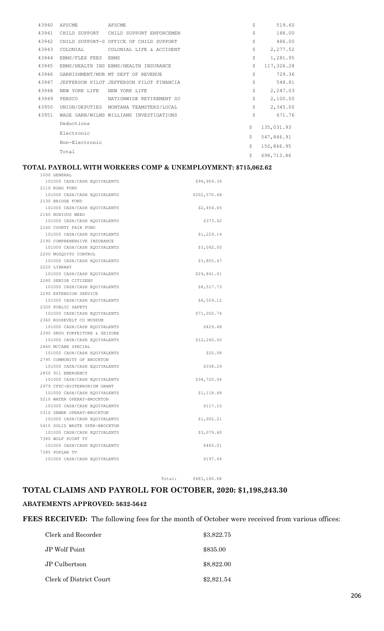| 43940 | AFSCME              | AFSCME                                   | \$<br>519.60     |
|-------|---------------------|------------------------------------------|------------------|
| 43941 |                     | CHILD SUPPORT CHILD SUPPORT ENFORCEMEN   | \$<br>188.00     |
| 43942 |                     | CHILD SUPPORT-S OFFICE OF CHILD SUPPORT  | \$<br>486.00     |
| 43943 | COLONIAL            | COLONIAL LIFE & ACCIDENT                 | \$<br>2,277.52   |
| 43944 | EBMS/FLEX FEES EBMS |                                          | \$<br>1,281.95   |
| 43945 |                     | EBMS/HEALTH INS EBMS/HEALTH INSURANCE    | \$<br>117,326.28 |
| 43946 |                     | GARNISHMENT/MDR MT DEPT OF REVENUE       | \$<br>729.36     |
| 43947 |                     | JEFFERSON PILOT JEFFERSON PILOT FINANCIA | \$<br>548.81     |
| 43948 | NEW YORK LIFE       | NEW YORK LIFE                            | \$<br>2,247.03   |
| 43949 | PEBSCO              | NATIONWIDE RETIREMENT SO                 | \$<br>2,100.00   |
| 43950 |                     | UNION/DEPUTIES MONTANA TEAMSTERS/LOCAL   | \$<br>2,345.00   |
| 43951 |                     | WAGE GARN/WILMS WILLIAMS INVESTIGATIONS  | \$<br>671.76     |
|       | Deductions          |                                          | \$<br>135,031.93 |
|       | Electronic          |                                          |                  |
|       | Non-Electronic      |                                          | \$<br>547,846.91 |
|       |                     |                                          | \$<br>150,866.95 |
|       | Total               |                                          | \$<br>698,713.86 |

#### **TOTAL PAYROLL WITH WORKERS COMP & UNEMPLOYMENT: \$715,062.62** 1000 GENERAL

| 101000 CASH/CASH EQUIVALENTS   | \$99,909.39  |
|--------------------------------|--------------|
| 2110 ROAD FUND                 |              |
| 101000 CASH/CASH EQUIVALENTS   | \$202,570.68 |
| 2130 BRIDGE FUND               |              |
| 101000 CASH/CASH EQUIVALENTS   | \$2,454.65   |
| 2140 NOXIOUS WEED              |              |
| 101000 CASH/CASH EQUIVALENTS   | \$373.42     |
| 2160 COUNTY FAIR FUND          |              |
| 101000 CASH/CASH EQUIVALENTS   | \$1,229.14   |
| 2190 COMPREHENSIVE INSURANCE   |              |
| 101000 CASH/CASH EQUIVALENTS   | \$3,092.00   |
| 2200 MOSOUITO CONTROL          |              |
| 101000 CASH/CASH EQUIVALENTS   | \$3,855.47   |
| 2220 LIBRARY                   |              |
| 101000 CASH/CASH EQUIVALENTS   | \$29,841.01  |
| 2280 SENIOR CITIZENS           |              |
| 101000 CASH/CASH EQUIVALENTS   | \$8,517.73   |
| 2290 EXTENSION SERVICE         |              |
| 101000 CASH/CASH EQUIVALENTS   | \$6,559.12   |
| 2300 PUBLIC SAFETY             |              |
| 101000 CASH/CASH EQUIVALENTS   | \$71,050.74  |
| 2360 ROOSEVELT CO MUSEUM       |              |
| 101000 CASH/CASH EQUIVALENTS   | \$429.48     |
| 2390 DRUG FORFEITURE & SEIZURE |              |
| 101000 CASH/CASH EQUIVALENTS   | \$12, 240.00 |
| 2460 MCCABE SPECIAL            |              |
| 101000 CASH/CASH EQUIVALENTS   | \$20.08      |
| 2795 COMMUNITY OF BROCKTON     |              |
| 101000 CASH/CASH EQUIVALENTS   | \$338.29     |
| 2850 911 EMERGENCY             |              |
| 101000 CASH/CASH EQUIVALENTS   | \$34,720.04  |
| 2979 CFDC-BIOTERRORISM GRANT   |              |
| 101000 CASH/CASH EQUIVALENTS   | \$1,118.68   |
| 5210 WATER OPERAT-BROCKTON     |              |
| 101000 CASH/CASH EQUIVALENTS   | \$117.10     |
| 5310 SEWER OPERAT-BROCKTON     |              |
| 101000 CASH/CASH EQUIVALENTS   | \$1,002.21   |
| 5410 SOLID WASTE OPER-BROCKTON |              |
| 101000 CASH/CASH EQUIVALENTS   | \$3,079.40   |
| 7380 WOLF POINT TV             |              |
| 101000 CASH/CASH EQUIVALENTS   | \$465.01     |
| 7385 POPLAR TV                 |              |
| 101000 CASH/CASH EQUIVALENTS   | \$197.04     |
|                                |              |

Total: \$483,180.68

### **TOTAL CLAIMS AND PAYROLL FOR OCTOBER, 2020: \$1,198,243.30**

#### **ABATEMENTS APPROVED: 5632-5642**

**FEES RECEIVED:** The following fees for the month of October were received from various offices:

| Clerk and Recorder      | \$3,822.75 |
|-------------------------|------------|
| JP Wolf Point           | \$835.00   |
| JP Culbertson           | \$8,822.00 |
| Clerk of District Court | \$2,821.54 |